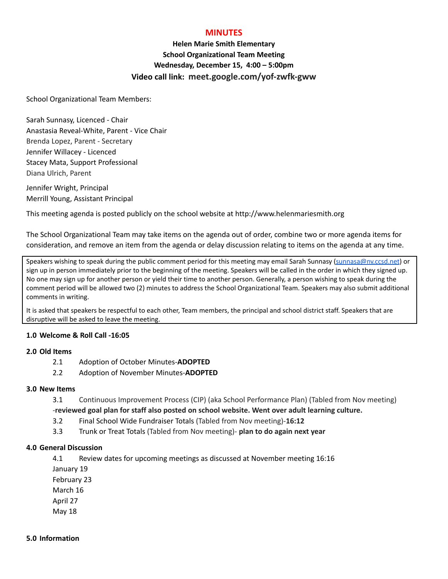## **MINUTES**

# **Helen Marie Smith Elementary School Organizational Team Meeting Wednesday, December 15, 4:00 – 5:00pm Video call link: meet.google.com/yof-zwfk-gww**

School Organizational Team Members:

Sarah Sunnasy, Licenced - Chair Anastasia Reveal-White, Parent - Vice Chair Brenda Lopez, Parent - Secretary Jennifer Willacey - Licenced Stacey Mata, Support Professional Diana Ulrich, Parent

Jennifer Wright, Principal Merrill Young, Assistant Principal

This meeting agenda is posted publicly on the school website at http://www.helenmariesmith.org

The School Organizational Team may take items on the agenda out of order, combine two or more agenda items for consideration, and remove an item from the agenda or delay discussion relating to items on the agenda at any time.

Speakers wishing to speak during the public comment period for this meeting may email Sarah Sunnasy [\(sunnasa@nv.ccsd.net](mailto:sunnasa@nv.ccsd.net)) or sign up in person immediately prior to the beginning of the meeting. Speakers will be called in the order in which they signed up. No one may sign up for another person or yield their time to another person. Generally, a person wishing to speak during the comment period will be allowed two (2) minutes to address the School Organizational Team. Speakers may also submit additional comments in writing.

It is asked that speakers be respectful to each other, Team members, the principal and school district staff. Speakers that are disruptive will be asked to leave the meeting.

#### **1.0 Welcome & Roll Call -16:05**

#### **2.0 Old Items**

- 2.1 Adoption of October Minutes-**ADOPTED**
- 2.2 Adoption of November Minutes-**ADOPTED**

#### **3.0 New Items**

- 3.1 Continuous Improvement Process (CIP) (aka School Performance Plan) (Tabled from Nov meeting) -**reviewed goal plan for staff also posted on school website. Went over adult learning culture.**
- 3.2 Final School Wide Fundraiser Totals (Tabled from Nov meeting)-**16:12**
- 3.3 Trunk or Treat Totals (Tabled from Nov meeting)- **plan to do again next year**

### **4.0 General Discussion**

4.1 Review dates for upcoming meetings as discussed at November meeting 16:16

January 19

February 23

March 16

April 27

May 18